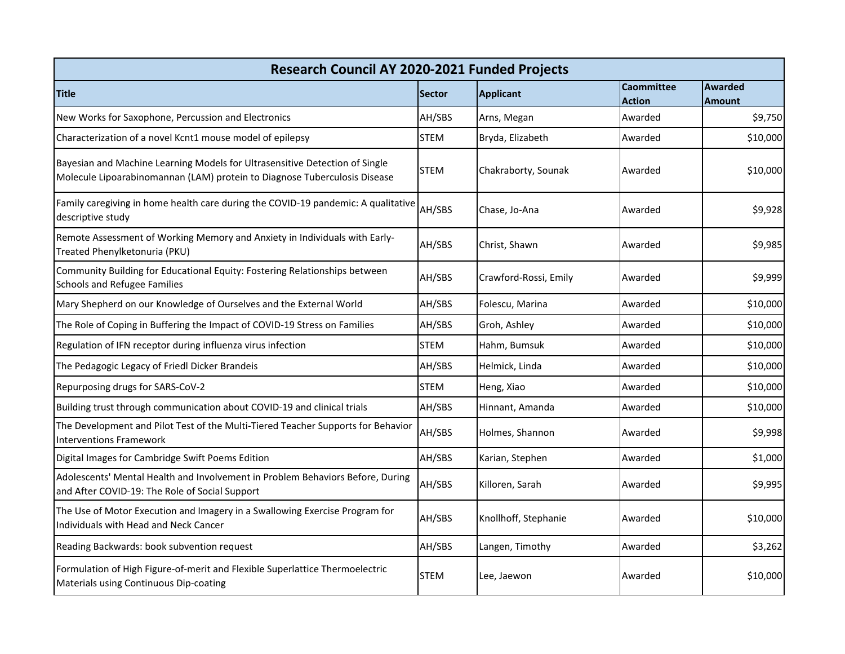| Research Council AY 2020-2021 Funded Projects                                                                                                            |               |                       |                   |                |  |  |  |
|----------------------------------------------------------------------------------------------------------------------------------------------------------|---------------|-----------------------|-------------------|----------------|--|--|--|
| <b>Title</b>                                                                                                                                             | <b>Sector</b> | <b>Applicant</b>      | <b>Caommittee</b> | <b>Awarded</b> |  |  |  |
|                                                                                                                                                          |               |                       | <b>Action</b>     | <b>Amount</b>  |  |  |  |
| New Works for Saxophone, Percussion and Electronics                                                                                                      | AH/SBS        | Arns, Megan           | Awarded           | \$9,750        |  |  |  |
| Characterization of a novel Kcnt1 mouse model of epilepsy                                                                                                | <b>STEM</b>   | Bryda, Elizabeth      | Awarded           | \$10,000       |  |  |  |
| Bayesian and Machine Learning Models for Ultrasensitive Detection of Single<br>Molecule Lipoarabinomannan (LAM) protein to Diagnose Tuberculosis Disease | <b>STEM</b>   | Chakraborty, Sounak   | Awarded           | \$10,000       |  |  |  |
| Family caregiving in home health care during the COVID-19 pandemic: A qualitative<br>descriptive study                                                   | AH/SBS        | Chase, Jo-Ana         | Awarded           | \$9,928        |  |  |  |
| Remote Assessment of Working Memory and Anxiety in Individuals with Early-<br>Treated Phenylketonuria (PKU)                                              | AH/SBS        | Christ, Shawn         | Awarded           | \$9,985        |  |  |  |
| Community Building for Educational Equity: Fostering Relationships between<br><b>Schools and Refugee Families</b>                                        | AH/SBS        | Crawford-Rossi, Emily | Awarded           | \$9,999        |  |  |  |
| Mary Shepherd on our Knowledge of Ourselves and the External World                                                                                       | AH/SBS        | Folescu, Marina       | Awarded           | \$10,000       |  |  |  |
| The Role of Coping in Buffering the Impact of COVID-19 Stress on Families                                                                                | AH/SBS        | Groh, Ashley          | Awarded           | \$10,000       |  |  |  |
| Regulation of IFN receptor during influenza virus infection                                                                                              | <b>STEM</b>   | Hahm, Bumsuk          | Awarded           | \$10,000       |  |  |  |
| The Pedagogic Legacy of Friedl Dicker Brandeis                                                                                                           | AH/SBS        | Helmick, Linda        | Awarded           | \$10,000       |  |  |  |
| Repurposing drugs for SARS-CoV-2                                                                                                                         | <b>STEM</b>   | Heng, Xiao            | Awarded           | \$10,000       |  |  |  |
| Building trust through communication about COVID-19 and clinical trials                                                                                  | AH/SBS        | Hinnant, Amanda       | Awarded           | \$10,000       |  |  |  |
| The Development and Pilot Test of the Multi-Tiered Teacher Supports for Behavior<br><b>Interventions Framework</b>                                       | AH/SBS        | Holmes, Shannon       | Awarded           | \$9,998        |  |  |  |
| Digital Images for Cambridge Swift Poems Edition                                                                                                         | AH/SBS        | Karian, Stephen       | Awarded           | \$1,000        |  |  |  |
| Adolescents' Mental Health and Involvement in Problem Behaviors Before, During<br>and After COVID-19: The Role of Social Support                         | AH/SBS        | Killoren, Sarah       | Awarded           | \$9,995        |  |  |  |
| The Use of Motor Execution and Imagery in a Swallowing Exercise Program for<br>Individuals with Head and Neck Cancer                                     | AH/SBS        | Knollhoff, Stephanie  | Awarded           | \$10,000       |  |  |  |
| Reading Backwards: book subvention request                                                                                                               | AH/SBS        | Langen, Timothy       | Awarded           | \$3,262        |  |  |  |
| Formulation of High Figure-of-merit and Flexible Superlattice Thermoelectric<br>Materials using Continuous Dip-coating                                   | <b>STEM</b>   | Lee, Jaewon           | Awarded           | \$10,000       |  |  |  |